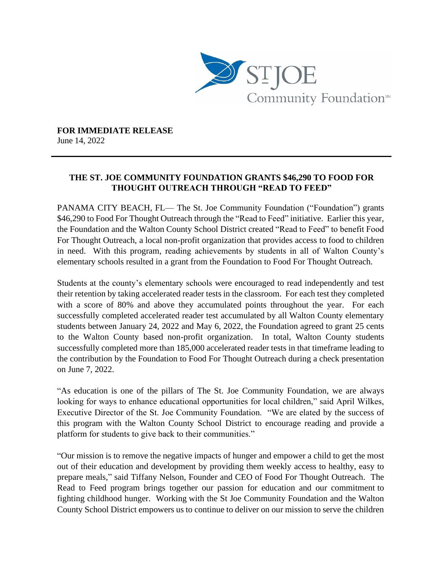

**FOR IMMEDIATE RELEASE** June 14, 2022

## **THE ST. JOE COMMUNITY FOUNDATION GRANTS \$46,290 TO FOOD FOR THOUGHT OUTREACH THROUGH "READ TO FEED"**

PANAMA CITY BEACH, FL— The St. Joe Community Foundation ("Foundation") grants \$46,290 to Food For Thought Outreach through the "Read to Feed" initiative. Earlier this year, the Foundation and the Walton County School District created "Read to Feed" to benefit Food For Thought Outreach, a local non-profit organization that provides access to food to children in need. With this program, reading achievements by students in all of Walton County's elementary schools resulted in a grant from the Foundation to Food For Thought Outreach.

Students at the county's elementary schools were encouraged to read independently and test their retention by taking accelerated reader tests in the classroom. For each test they completed with a score of 80% and above they accumulated points throughout the year. For each successfully completed accelerated reader test accumulated by all Walton County elementary students between January 24, 2022 and May 6, 2022, the Foundation agreed to grant 25 cents to the Walton County based non-profit organization. In total, Walton County students successfully completed more than 185,000 accelerated reader tests in that timeframe leading to the contribution by the Foundation to Food For Thought Outreach during a check presentation on June 7, 2022.

"As education is one of the pillars of The St. Joe Community Foundation, we are always looking for ways to enhance educational opportunities for local children," said April Wilkes, Executive Director of the St. Joe Community Foundation. "We are elated by the success of this program with the Walton County School District to encourage reading and provide a platform for students to give back to their communities."

"Our mission is to remove the negative impacts of hunger and empower a child to get the most out of their education and development by providing them weekly access to healthy, easy to prepare meals," said Tiffany Nelson, Founder and CEO of Food For Thought Outreach. The Read to Feed program brings together our passion for education and our commitment to fighting childhood hunger. Working with the St Joe Community Foundation and the Walton County School District empowers us to continue to deliver on our mission to serve the children